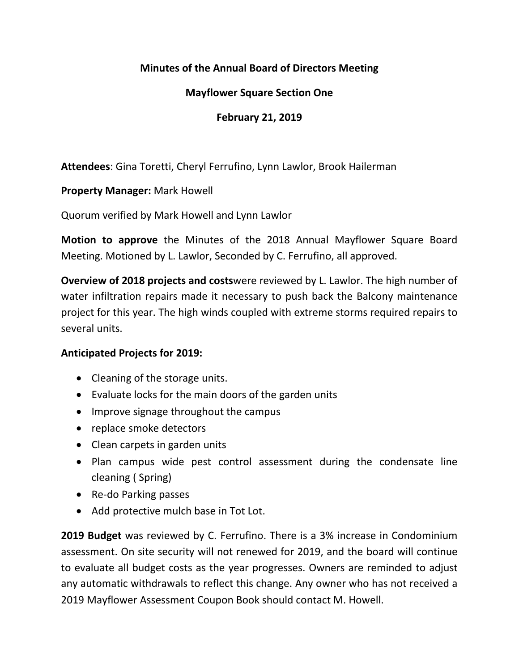# **Minutes of the Annual Board of Directors Meeting**

# **Mayflower Square Section One**

# **February 21, 2019**

**Attendees**: Gina Toretti, Cheryl Ferrufino, Lynn Lawlor, Brook Hailerman

**Property Manager:** Mark Howell

Quorum verified by Mark Howell and Lynn Lawlor

**Motion to approve** the Minutes of the 2018 Annual Mayflower Square Board Meeting. Motioned by L. Lawlor, Seconded by C. Ferrufino, all approved.

**Overview of 2018 projects and costs**were reviewed by L. Lawlor. The high number of water infiltration repairs made it necessary to push back the Balcony maintenance project for this year. The high winds coupled with extreme storms required repairs to several units.

# **Anticipated Projects for 2019:**

- Cleaning of the storage units.
- Evaluate locks for the main doors of the garden units
- Improve signage throughout the campus
- replace smoke detectors
- Clean carpets in garden units
- Plan campus wide pest control assessment during the condensate line cleaning ( Spring)
- Re-do Parking passes
- Add protective mulch base in Tot Lot.

**2019 Budget** was reviewed by C. Ferrufino. There is a 3% increase in Condominium assessment. On site security will not renewed for 2019, and the board will continue to evaluate all budget costs as the year progresses. Owners are reminded to adjust any automatic withdrawals to reflect this change. Any owner who has not received a 2019 Mayflower Assessment Coupon Book should contact M. Howell.